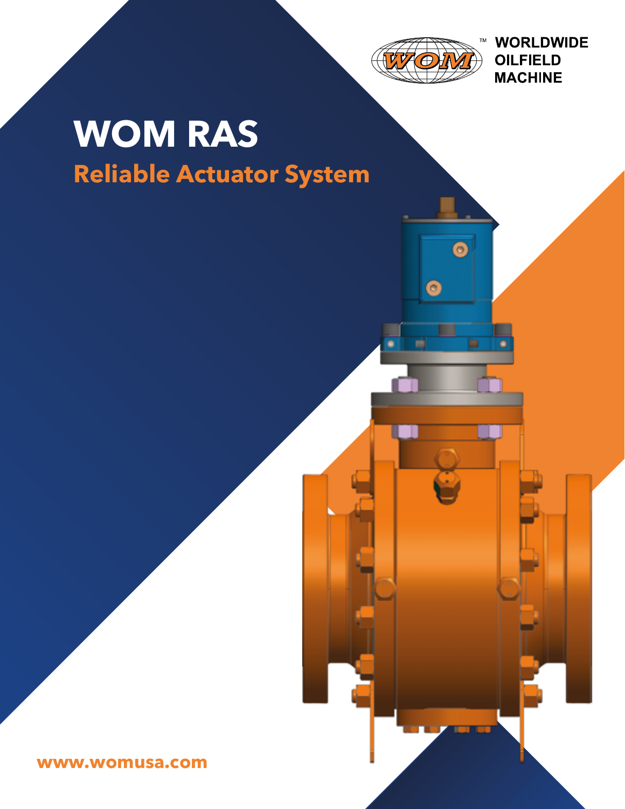

 $\bullet$ 

in.

 $\overline{\bullet}$ 

 $\bullet$ 

m

**WORLDWIDE OILFIELD MACHINE** 

# **WOM RAS Reliable Actuator System**

**www.womusa.com**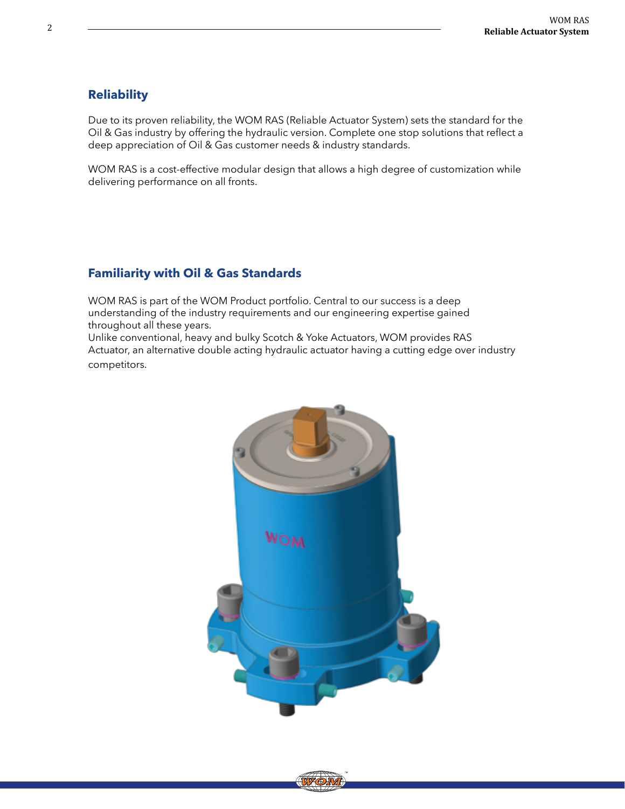### **Reliability**

Due to its proven reliability, the WOM RAS (Reliable Actuator System) sets the standard for the Oil & Gas industry by offering the hydraulic version. Complete one stop solutions that reflect a deep appreciation of Oil & Gas customer needs & industry standards.

WOM RAS is a cost-effective modular design that allows a high degree of customization while delivering performance on all fronts.

## **Familiarity with Oil & Gas Standards**

WOM RAS is part of the WOM Product portfolio. Central to our success is a deep understanding of the industry requirements and our engineering expertise gained throughout all these years. Unlike conventional, heavy and bulky Scotch & Yoke Actuators, WOM provides RAS

Actuator, an alternative double acting hydraulic actuator having a cutting edge over industry competitors.



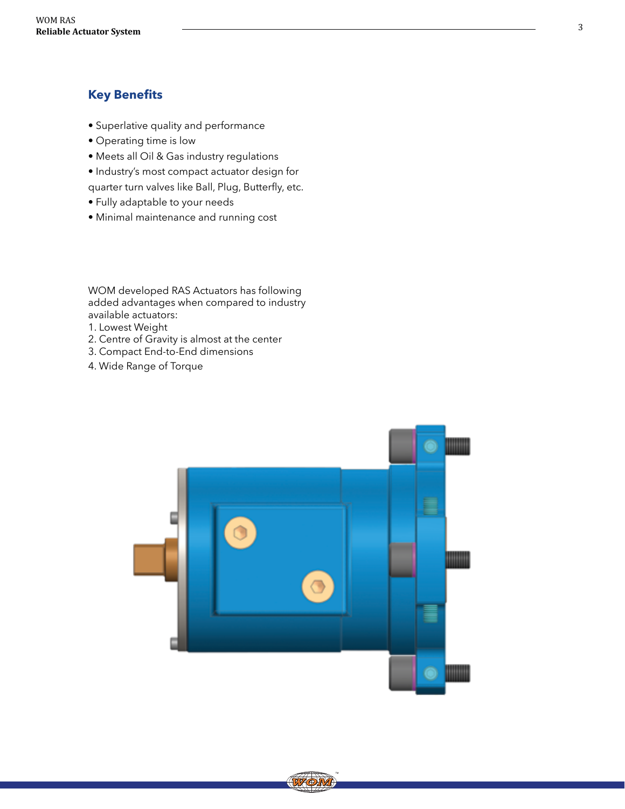#### **Key Benefits**

- Superlative quality and performance
- Operating time is low
- Meets all Oil & Gas industry regulations
- Industry's most compact actuator design for quarter turn valves like Ball, Plug, Butterfly, etc.
- Fully adaptable to your needs
- Minimal maintenance and running cost

WOM developed RAS Actuators has following added advantages when compared to industry available actuators:

- 1. Lowest Weight
- 2. Centre of Gravity is almost at the center
- 3. Compact End-to-End dimensions
- 4. Wide Range of Torque



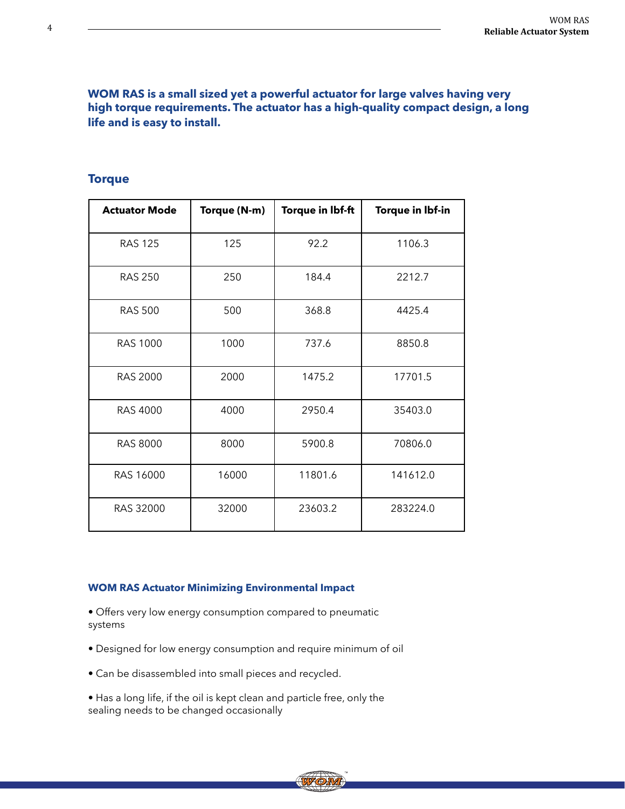**WOM RAS is a small sized yet a powerful actuator for large valves having very high torque requirements. The actuator has a high-quality compact design, a long life and is easy to install.**

#### **Torque**

| <b>Actuator Mode</b> | Torque (N-m) | Torque in Ibf-ft | <b>Torque in Ibf-in</b> |
|----------------------|--------------|------------------|-------------------------|
| <b>RAS 125</b>       | 125          | 92.2             | 1106.3                  |
| <b>RAS 250</b>       | 250          | 184.4            | 2212.7                  |
| <b>RAS 500</b>       | 500          | 368.8            | 4425.4                  |
| <b>RAS 1000</b>      | 1000         | 737.6            | 8850.8                  |
| <b>RAS 2000</b>      | 2000         | 1475.2           | 17701.5                 |
| <b>RAS 4000</b>      | 4000         | 2950.4           | 35403.0                 |
| <b>RAS 8000</b>      | 8000         | 5900.8           | 70806.0                 |
| RAS 16000            | 16000        | 11801.6          | 141612.0                |
| RAS 32000            | 32000        | 23603.2          | 283224.0                |

#### **WOM RAS Actuator Minimizing Environmental Impact**

- Offers very low energy consumption compared to pneumatic systems
- Designed for low energy consumption and require minimum of oil
- Can be disassembled into small pieces and recycled.
- Has a long life, if the oil is kept clean and particle free, only the sealing needs to be changed occasionally

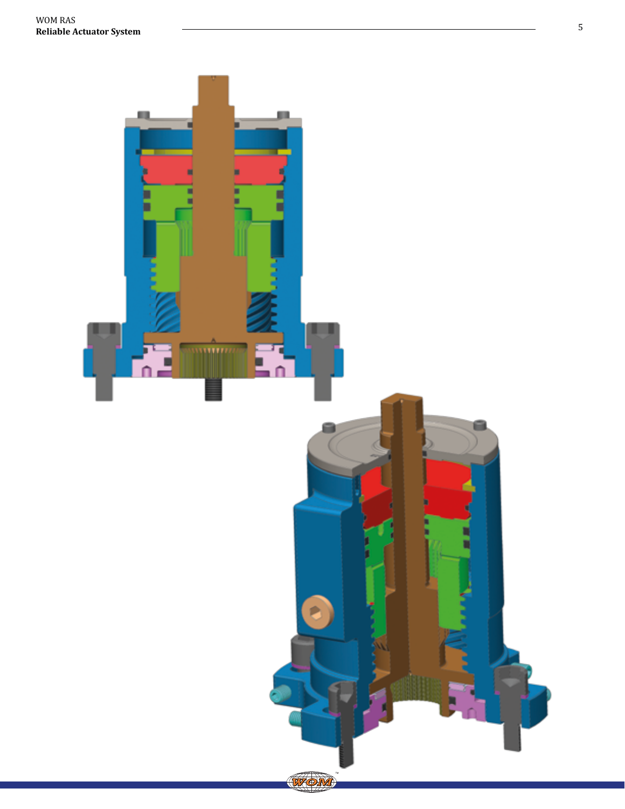